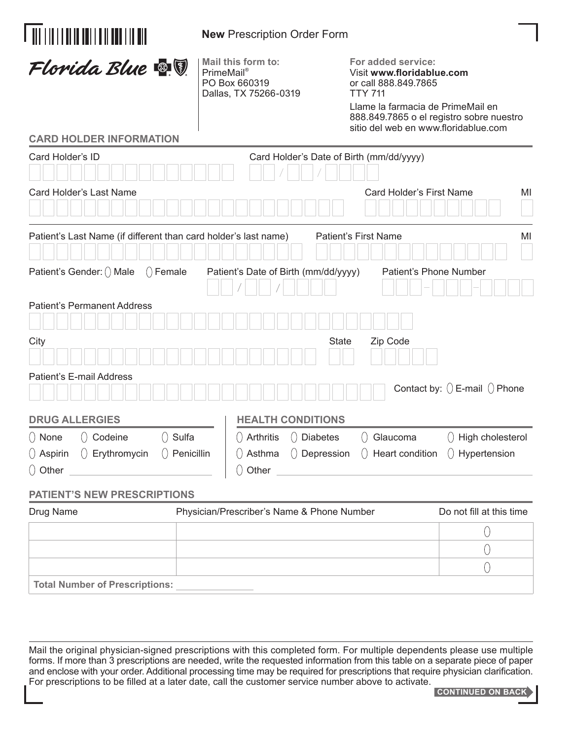| <u> Ali i in i i di in doi i di i doi i in din</u>                                                                                                                                                                                                                              | <b>New Prescription Order Form</b>                                                |                                                                                                                                                                                                                                                                                          |  |  |  |
|---------------------------------------------------------------------------------------------------------------------------------------------------------------------------------------------------------------------------------------------------------------------------------|-----------------------------------------------------------------------------------|------------------------------------------------------------------------------------------------------------------------------------------------------------------------------------------------------------------------------------------------------------------------------------------|--|--|--|
| Florida Blue <b>&amp; V</b>                                                                                                                                                                                                                                                     | Mail this form to:<br><b>PrimeMail®</b><br>PO Box 660319<br>Dallas, TX 75266-0319 | For added service:<br>Visit www.floridablue.com<br>or call 888.849.7865<br><b>TTY 711</b><br>Llame la farmacia de PrimeMail en<br>888.849.7865 o el registro sobre nuestro<br>sitio del web en www.floridablue.com                                                                       |  |  |  |
| <b>CARD HOLDER INFORMATION</b>                                                                                                                                                                                                                                                  |                                                                                   |                                                                                                                                                                                                                                                                                          |  |  |  |
| Card Holder's ID                                                                                                                                                                                                                                                                | Card Holder's Date of Birth (mm/dd/yyyy)                                          |                                                                                                                                                                                                                                                                                          |  |  |  |
| Card Holder's Last Name                                                                                                                                                                                                                                                         |                                                                                   | Card Holder's First Name<br>MI                                                                                                                                                                                                                                                           |  |  |  |
| Patient's Last Name (if different than card holder's last name)                                                                                                                                                                                                                 |                                                                                   | <b>Patient's First Name</b><br>MI                                                                                                                                                                                                                                                        |  |  |  |
| Patient's Gender: () Male<br>$()$ Female                                                                                                                                                                                                                                        | Patient's Date of Birth (mm/dd/yyyy)                                              | Patient's Phone Number                                                                                                                                                                                                                                                                   |  |  |  |
| <b>Patient's Permanent Address</b>                                                                                                                                                                                                                                              |                                                                                   |                                                                                                                                                                                                                                                                                          |  |  |  |
| City                                                                                                                                                                                                                                                                            |                                                                                   | <b>State</b><br>Zip Code                                                                                                                                                                                                                                                                 |  |  |  |
| Patient's E-mail Address                                                                                                                                                                                                                                                        |                                                                                   | Contact by: $()$ E-mail $()$ Phone                                                                                                                                                                                                                                                       |  |  |  |
| <b>DRUG ALLERGIES</b>                                                                                                                                                                                                                                                           | <b>HEALTH CONDITIONS</b>                                                          |                                                                                                                                                                                                                                                                                          |  |  |  |
| $\left(\begin{array}{ccc} 0 & \text{None} \\ 0 & \text{Codeine} \end{array}\right)$ Codeine $\left(\begin{array}{ccc} 0 & \text{Sulfa} \\ 0 & \text{Ourla} \end{array}\right)$<br>$\left(\right)$ Aspirin $\left(\right)$ Erythromycin $\left(\right)$ Penicillin<br>$()$ Other | $\bigcirc$ Other                                                                  | $\left(\begin{array}{ccc} 0 & \text{Arthritis} & 0 \end{array}\right)$ Diabetes $\left(\begin{array}{ccc} 0 & \text{Glaucoma} & 0 \end{array}\right)$ High cholesterol<br>$\left(\right)$ Asthma $\left(\right)$ Depression $\left(\right)$ Heart condition $\left(\right)$ Hypertension |  |  |  |
| <b>PATIENT'S NEW PRESCRIPTIONS</b>                                                                                                                                                                                                                                              |                                                                                   |                                                                                                                                                                                                                                                                                          |  |  |  |
| Drug Name                                                                                                                                                                                                                                                                       | Physician/Prescriber's Name & Phone Number                                        | Do not fill at this time                                                                                                                                                                                                                                                                 |  |  |  |
|                                                                                                                                                                                                                                                                                 |                                                                                   | U                                                                                                                                                                                                                                                                                        |  |  |  |
|                                                                                                                                                                                                                                                                                 |                                                                                   | 0                                                                                                                                                                                                                                                                                        |  |  |  |
|                                                                                                                                                                                                                                                                                 |                                                                                   | 0                                                                                                                                                                                                                                                                                        |  |  |  |

**Total Number of Prescriptions:**

Mail the original physician-signed prescriptions with this completed form. For multiple dependents please use multiple forms. If more than 3 prescriptions are needed, write the requested information from this table on a separate piece of paper and enclose with your order. Additional processing time may be required for prescriptions that require physician clarification. For prescriptions to be filled at a later date, call the customer service number above to activate.